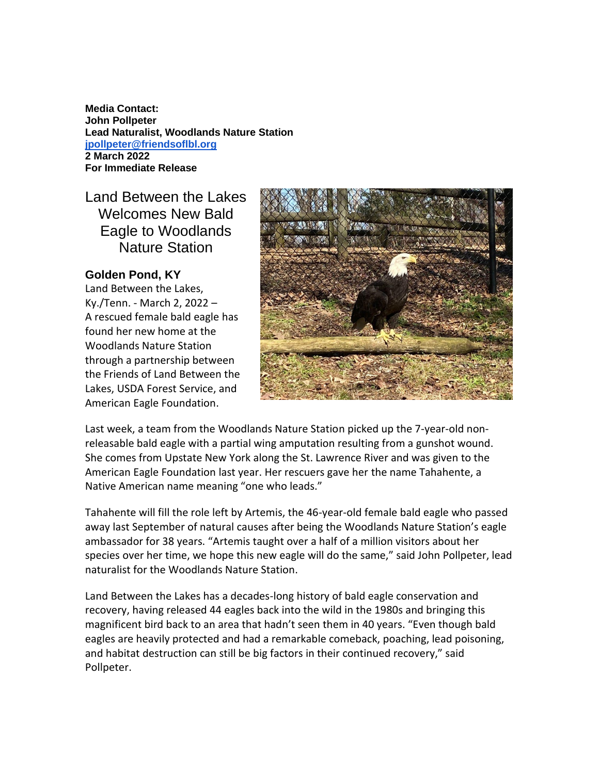**Media Contact: John Pollpeter Lead Naturalist, Woodlands Nature Station [jpollpeter@friendsoflbl.org](mailto:jpollpeter@friendsoflbl.org) 2 March 2022 For Immediate Release**

## Land Between the Lakes Welcomes New Bald Eagle to Woodlands Nature Station

## **Golden Pond, KY**

Land Between the Lakes, Ky./Tenn. - March 2, 2022 – A rescued female bald eagle has found her new home at the Woodlands Nature Station through a partnership between the Friends of Land Between the Lakes, USDA Forest Service, and American Eagle Foundation.



Last week, a team from the Woodlands Nature Station picked up the 7-year-old nonreleasable bald eagle with a partial wing amputation resulting from a gunshot wound. She comes from Upstate New York along the St. Lawrence River and was given to the American Eagle Foundation last year. Her rescuers gave her the name Tahahente, a Native American name meaning "one who leads."

Tahahente will fill the role left by Artemis, the 46-year-old female bald eagle who passed away last September of natural causes after being the Woodlands Nature Station's eagle ambassador for 38 years. "Artemis taught over a half of a million visitors about her species over her time, we hope this new eagle will do the same," said John Pollpeter, lead naturalist for the Woodlands Nature Station.

Land Between the Lakes has a decades-long history of bald eagle conservation and recovery, having released 44 eagles back into the wild in the 1980s and bringing this magnificent bird back to an area that hadn't seen them in 40 years. "Even though bald eagles are heavily protected and had a remarkable comeback, poaching, lead poisoning, and habitat destruction can still be big factors in their continued recovery," said Pollpeter.